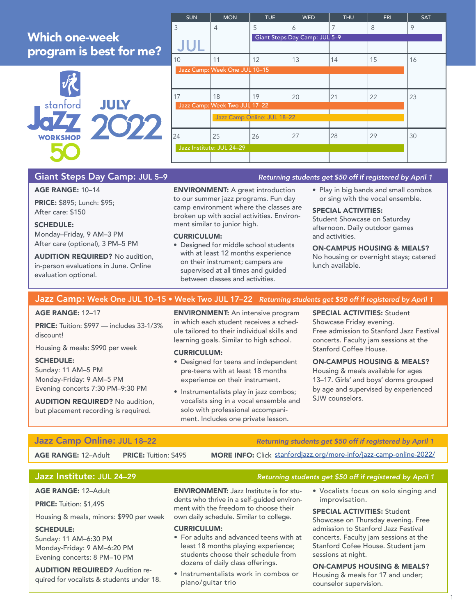# Which one-week program is best for me?



| <b>SUN</b>                    | <b>MON</b>                    | <b>TUE</b>                  | <b>WED</b> | <b>THU</b> | <b>FRI</b> | <b>SAT</b> |  |
|-------------------------------|-------------------------------|-----------------------------|------------|------------|------------|------------|--|
| 3                             | $\overline{4}$                | 5                           | 6          | 7          | 8          | 9          |  |
|                               | Giant Steps Day Camp: JUL 5-9 |                             |            |            |            |            |  |
|                               |                               |                             |            |            |            |            |  |
| 10                            | 11                            | 12                          | 13         | 14         | 15         | 16         |  |
|                               | Jazz Camp: Week One JUL 10-15 |                             |            |            |            |            |  |
|                               |                               |                             |            |            |            |            |  |
| 17                            | 18                            | 19                          | 20         | 21         | 22         | 23         |  |
| Jazz Camp: Week Two JUL 17-22 |                               |                             |            |            |            |            |  |
|                               |                               | Jazz Camp Online: JUL 18-22 |            |            |            |            |  |
| 24                            | 25                            | 26                          | 27         | 28         | 29         | 30         |  |
| Jazz Institute: JUL 24-29     |                               |                             |            |            |            |            |  |
|                               |                               |                             |            |            |            |            |  |

# Giant Steps Day Camp: JUL 5-9 *Returning students get \$50 off if registered by April 1*

### AGE RANGE: 10–14

PRICE: \$895; Lunch: \$95; After care: \$150

### SCHEDULE:

Monday–Friday, 9 AM–3 PM After care (optional), 3 PM–5 PM

AUDITION REQUIRED? No audition, in-person evaluations in June. Online evaluation optional.

ENVIRONMENT: A great introduction to our summer jazz programs. Fun day camp environment where the classes are broken up with social activities. Environment similar to junior high.

### CURRICULUM:

- Designed for middle school students with at least 12 months experience on their instrument; campers are supervised at all times and guided between classes and activities.
- Play in big bands and small combos or sing with the vocal ensemble.

# SPECIAL ACTIVITIES:

Student Showcase on Saturday afternoon. Daily outdoor games and activities.

### ON-CAMPUS HOUSING & MEALS?

No housing or overnight stays; catered lunch available.

## Jazz Camp: Week One JUL 10–15 • Week Two JUL 17–22 *Returning students get \$50 off if registered by April 1*

### AGE RANGE: 12–17

PRICE: Tuition: \$997 — includes 33-1/3% discount!

Housing & meals: \$990 per week

### SCHEDULE:

Sunday: 11 AM–5 PM Monday-Friday: 9 AM–5 PM Evening concerts 7:30 PM–9:30 PM

AUDITION REQUIRED? No audition, but placement recording is required.

ENVIRONMENT: An intensive program in which each student receives a schedule tailored to their individual skills and learning goals. Similar to high school.

### CURRICULUM:

- Designed for teens and independent pre-teens with at least 18 months experience on their instrument.
- Instrumentalists play in jazz combos; vocalists sing in a vocal ensemble and solo with professional accompaniment. Includes one private lesson.

SPECIAL ACTIVITIES: Student Showcase Friday evening. Free admission to Stanford Jazz Festival concerts. Faculty jam sessions at the Stanford Coffee House.

### ON-CAMPUS HOUSING & MEALS? Housing & meals available for ages 13–17. Girls' and boys' dorms grouped by age and supervised by experienced SJW counselors.

AGE RANGE: 12-Adult PRICE: Tuition: \$495

Jazz Camp Online: JUL 18-22 *Returning students get \$50 off if registered by April 1* 

MORE INFO: Click [stanfordjazz.org/more-info/jazz-camp-online-2022/](http://stanfordjazz.org/more-info/jazz-camp-online-2022/)

### Jazz Institute: JUL 24–29 *Returning students get \$50 off if registered by April 1*

# AGE RANGE: 12–Adult

PRICE: Tuition: \$1,495

Housing & meals, minors: \$990 per week

### SCHEDULE:

Sunday: 11 AM–6:30 PM Monday-Friday: 9 AM–6:20 PM Evening concerts: 8 PM–10 PM

AUDITION REQUIRED? Audition required for vocalists & students under 18.

**ENVIRONMENT:** Jazz Institute is for students who thrive in a self-guided environment with the freedom to choose their own daily schedule. Similar to college.

### CURRICULUM:

- For adults and advanced teens with at least 18 months playing experience; students choose their schedule from dozens of daily class offerings.
- Instrumentalists work in combos or piano/guitar trio

• Vocalists focus on solo singing and improvisation.

### SPECIAL ACTIVITIES: Student Showcase on Thursday evening. Free admission to Stanford Jazz Festival concerts. Faculty jam sessions at the Stanford Cofee House. Student jam sessions at night.

ON-CAMPUS HOUSING & MEALS? Housing & meals for 17 and under; counselor supervision.